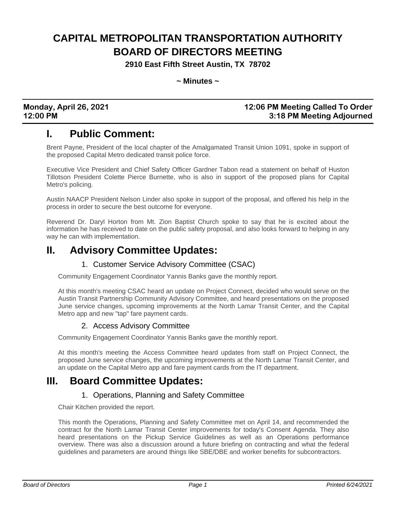# **CAPITAL METROPOLITAN TRANSPORTATION AUTHORITY BOARD OF DIRECTORS MEETING**

**2910 East Fifth Street Austin, TX 78702**

**~ Minutes ~**

## **Monday, April 26, 2021 12:06 PM Meeting Called To Order 12:00 PM 3:18 PM Meeting Adjourned**

## **I. Public Comment:**

Brent Payne, President of the local chapter of the Amalgamated Transit Union 1091, spoke in support of the proposed Capital Metro dedicated transit police force.

Executive Vice President and Chief Safety Officer Gardner Tabon read a statement on behalf of Huston Tillotson President Colette Pierce Burnette, who is also in support of the proposed plans for Capital Metro's policing.

Austin NAACP President Nelson Linder also spoke in support of the proposal, and offered his help in the process in order to secure the best outcome for everyone.

Reverend Dr. Daryl Horton from Mt. Zion Baptist Church spoke to say that he is excited about the information he has received to date on the public safety proposal, and also looks forward to helping in any way he can with implementation.

## **II. Advisory Committee Updates:**

### 1. Customer Service Advisory Committee (CSAC)

Community Engagement Coordinator Yannis Banks gave the monthly report.

At this month's meeting CSAC heard an update on Project Connect, decided who would serve on the Austin Transit Partnership Community Advisory Committee, and heard presentations on the proposed June service changes, upcoming improvements at the North Lamar Transit Center, and the Capital Metro app and new "tap" fare payment cards.

### 2. Access Advisory Committee

Community Engagement Coordinator Yannis Banks gave the monthly report.

At this month's meeting the Access Committee heard updates from staff on Project Connect, the proposed June service changes, the upcoming improvements at the North Lamar Transit Center, and an update on the Capital Metro app and fare payment cards from the IT department.

## **III. Board Committee Updates:**

### 1. Operations, Planning and Safety Committee

Chair Kitchen provided the report.

This month the Operations, Planning and Safety Committee met on April 14, and recommended the contract for the North Lamar Transit Center improvements for today's Consent Agenda. They also heard presentations on the Pickup Service Guidelines as well as an Operations performance overview. There was also a discussion around a future briefing on contracting and what the federal guidelines and parameters are around things like SBE/DBE and worker benefits for subcontractors.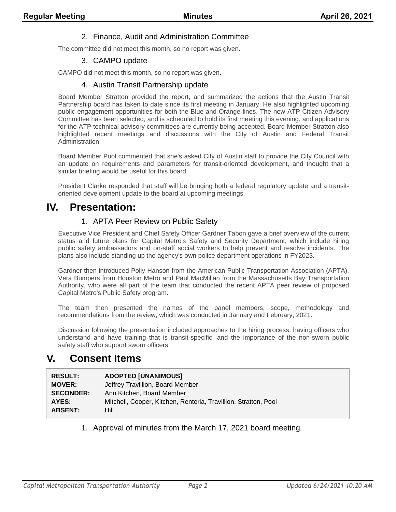#### 2. Finance, Audit and Administration Committee

The committee did not meet this month, so no report was given.

#### 3. CAMPO update

CAMPO did not meet this month, so no report was given.

#### 4. Austin Transit Partnership update

Board Member Stratton provided the report, and summarized the actions that the Austin Transit Partnership board has taken to date since its first meeting in January. He also highlighted upcoming public engagement opportunities for both the Blue and Orange lines. The new ATP Citizen Advisory Committee has been selected, and is scheduled to hold its first meeting this evening, and applications for the ATP technical advisory committees are currently being accepted. Board Member Stratton also highlighted recent meetings and discussions with the City of Austin and Federal Transit Administration.

Board Member Pool commented that she's asked City of Austin staff to provide the City Council with an update on requirements and parameters for transit-oriented development, and thought that a similar briefing would be useful for this board.

President Clarke responded that staff will be bringing both a federal regulatory update and a transitoriented development update to the board at upcoming meetings.

## **IV. Presentation:**

#### 1. APTA Peer Review on Public Safety

Executive Vice President and Chief Safety Officer Gardner Tabon gave a brief overview of the current status and future plans for Capital Metro's Safety and Security Department, which include hiring public safety ambassadors and on-staff social workers to help prevent and resolve incidents. The plans also include standing up the agency's own police department operations in FY2023.

Gardner then introduced Polly Hanson from the American Public Transportation Association (APTA), Vera Bumpers from Houston Metro and Paul MacMillan from the Massachusetts Bay Transportation Authority, who were all part of the team that conducted the recent APTA peer review of proposed Capital Metro's Public Safety program.

The team then presented the names of the panel members, scope, methodology and recommendations from the review, which was conducted in January and February, 2021.

Discussion following the presentation included approaches to the hiring process, having officers who understand and have training that is transit-specific, and the importance of the non-sworn public safety staff who support sworn officers.

## **V. Consent Items**

| <b>RESULT:</b>   | <b>ADOPTED [UNANIMOUS]</b>                                      |
|------------------|-----------------------------------------------------------------|
| <b>MOVER:</b>    | Jeffrey Travillion, Board Member                                |
| <b>SECONDER:</b> | Ann Kitchen, Board Member                                       |
| AYES:            | Mitchell, Cooper, Kitchen, Renteria, Travillion, Stratton, Pool |
| <b>ABSENT:</b>   | Hill                                                            |

1. Approval of minutes from the March 17, 2021 board meeting.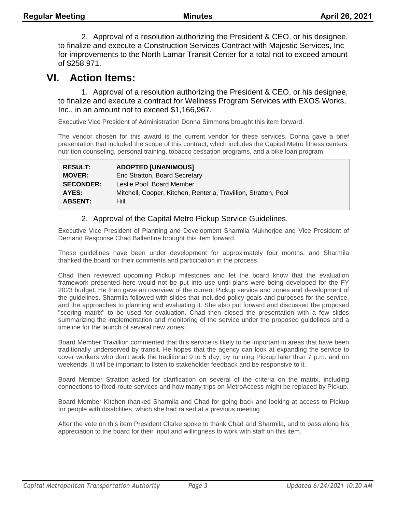2. Approval of a resolution authorizing the President & CEO, or his designee, to finalize and execute a Construction Services Contract with Majestic Services, Inc for improvements to the North Lamar Transit Center for a total not to exceed amount of \$258,971.

## **VI. Action Items:**

1. Approval of a resolution authorizing the President & CEO, or his designee, to finalize and execute a contract for Wellness Program Services with EXOS Works, Inc., in an amount not to exceed \$1,166,967.

Executive Vice President of Administration Donna Simmons brought this item forward.

The vendor chosen for this award is the current vendor for these services. Donna gave a brief presentation that included the scope of this contract, which includes the Capital Metro fitness centers, nutrition counseling, personal training, tobacco cessation programs, and a bike loan program.

| <b>RESULT:</b>   | <b>ADOPTED [UNANIMOUS]</b>                                      |
|------------------|-----------------------------------------------------------------|
| <b>MOVER:</b>    | Eric Stratton, Board Secretary                                  |
| <b>SECONDER:</b> | Leslie Pool. Board Member                                       |
| AYES:            | Mitchell, Cooper, Kitchen, Renteria, Travillion, Stratton, Pool |
| <b>ABSENT:</b>   | Hill                                                            |

## 2. Approval of the Capital Metro Pickup Service Guidelines.

Executive Vice President of Planning and Development Sharmila Mukherjee and Vice President of Demand Response Chad Ballentine brought this item forward.

These guidelines have been under development for approximately four months, and Sharmila thanked the board for their comments and participation in the process.

Chad then reviewed upcoming Pickup milestones and let the board know that the evaluation framework presented here would not be put into use until plans were being developed for the FY 2023 budget. He then gave an overview of the current Pickup service and zones and development of the guidelines. Sharmila followed with slides that included policy goals and purposes for the service, and the approaches to planning and evaluating it. She also put forward and discussed the proposed "scoring matrix" to be used for evaluation. Chad then closed the presentation with a few slides summarizing the implementation and monitoring of the service under the proposed guidelines and a timeline for the launch of several new zones.

Board Member Travillion commented that this service is likely to be important in areas that have been traditionally underserved by transit. He hopes that the agency can look at expanding the service to cover workers who don't work the traditional 9 to 5 day, by running Pickup later than 7 p.m. and on weekends. It will be important to listen to stakeholder feedback and be responsive to it.

Board Member Stratton asked for clarification on several of the criteria on the matrix, including connections to fixed-route services and how many trips on MetroAccess might be replaced by Pickup.

Board Member Kitchen thanked Sharmila and Chad for going back and looking at access to Pickup for people with disabilities, which she had raised at a previous meeting.

After the vote on this item President Clarke spoke to thank Chad and Sharmila, and to pass along his appreciation to the board for their input and willingness to work with staff on this item.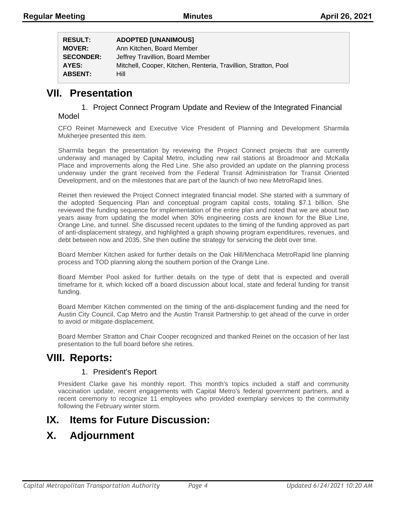| <b>RESULT:</b>   | <b>ADOPTED [UNANIMOUS]</b>                                      |
|------------------|-----------------------------------------------------------------|
| <b>MOVER:</b>    | Ann Kitchen, Board Member                                       |
| <b>SECONDER:</b> | Jeffrey Travillion, Board Member                                |
| AYES:            | Mitchell, Cooper, Kitchen, Renteria, Travillion, Stratton, Pool |
| <b>ABSENT:</b>   | Hill                                                            |

## **VII. Presentation**

# 1. Project Connect Program Update and Review of the Integrated Financial

#### Model

CFO Reinet Marneweck and Executive Vice President of Planning and Development Sharmila Mukherjee presented this item.

Sharmila began the presentation by reviewing the Project Connect projects that are currently underway and managed by Capital Metro, including new rail stations at Broadmoor and McKalla Place and improvements along the Red Line. She also provided an update on the planning process underway under the grant received from the Federal Transit Administration for Transit Oriented Development, and on the milestones that are part of the launch of two new MetroRapid lines.

Reinet then reviewed the Project Connect integrated financial model. She started with a summary of the adopted Sequencing Plan and conceptual program capital costs, totaling \$7.1 billion. She reviewed the funding sequence for implementation of the entire plan and noted that we are about two years away from updating the model when 30% engineering costs are known for the Blue Line, Orange Line, and tunnel. She discussed recent updates to the timing of the funding approved as part of anti-displacement strategy, and highlighted a graph showing program expenditures, revenues, and debt between now and 2035. She then outline the strategy for servicing the debt over time.

Board Member Kitchen asked for further details on the Oak Hill/Menchaca MetroRapid line planning process and TOD planning along the southern portion of the Orange Line.

Board Member Pool asked for further details on the type of debt that is expected and overall timeframe for it, which kicked off a board discussion about local, state and federal funding for transit funding.

Board Member Kitchen commented on the timing of the anti-displacement funding and the need for Austin City Council, Cap Metro and the Austin Transit Partnership to get ahead of the curve in order to avoid or mitigate displacement.

Board Member Stratton and Chair Cooper recognized and thanked Reinet on the occasion of her last presentation to the full board before she retires.

## **VIII. Reports:**

### 1. President's Report

President Clarke gave his monthly report. This month's topics included a staff and community vaccination update, recent engagements with Capital Metro's federal government partners, and a recent ceremony to recognize 11 employees who provided exemplary services to the community following the February winter storm.

## **IX. Items for Future Discussion:**

# **X. Adjournment**